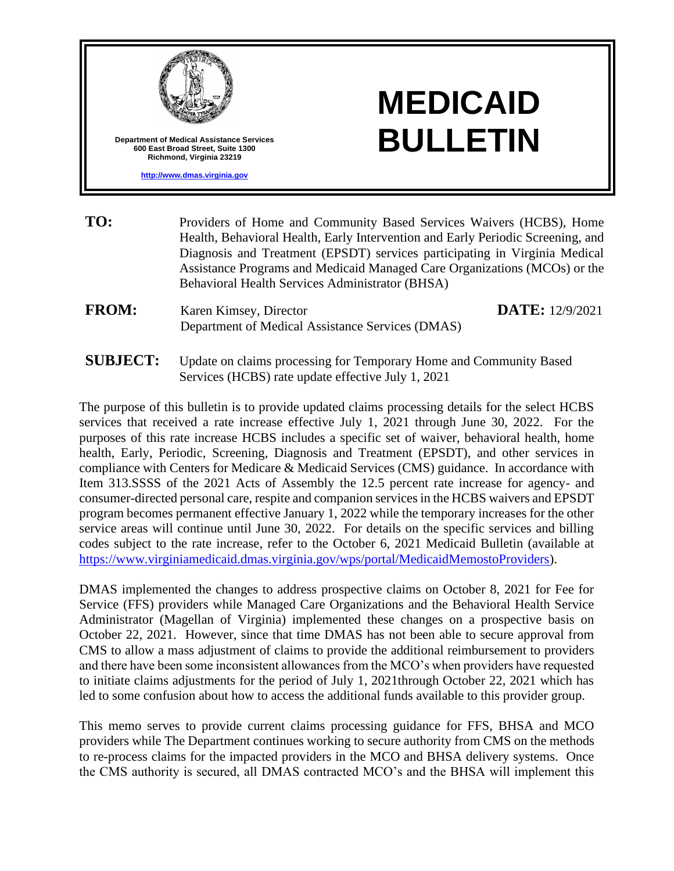

**TO:** Providers of Home and Community Based Services Waivers (HCBS), Home Health, Behavioral Health, Early Intervention and Early Periodic Screening, and Diagnosis and Treatment (EPSDT) services participating in Virginia Medical Assistance Programs and Medicaid Managed Care Organizations (MCOs) or the Behavioral Health Services Administrator (BHSA)

**DATE:** 12/9/2021

- FROM: Karen Kimsey, Director Department of Medical Assistance Services (DMAS)
- **SUBJECT:** Update on claims processing for Temporary Home and Community Based Services (HCBS) rate update effective July 1, 2021

The purpose of this bulletin is to provide updated claims processing details for the select HCBS services that received a rate increase effective July 1, 2021 through June 30, 2022. For the purposes of this rate increase HCBS includes a specific set of waiver, behavioral health, home health, Early, Periodic, Screening, Diagnosis and Treatment (EPSDT), and other services in compliance with Centers for Medicare & Medicaid Services (CMS) guidance. In accordance with Item 313.SSSS of the 2021 Acts of Assembly the 12.5 percent rate increase for agency- and consumer-directed personal care, respite and companion services in the HCBS waivers and EPSDT program becomes permanent effective January 1, 2022 while the temporary increases for the other service areas will continue until June 30, 2022. For details on the specific services and billing codes subject to the rate increase, refer to the October 6, 2021 Medicaid Bulletin (available at [https://www.virginiamedicaid.dmas.virginia.gov/wps/portal/MedicaidMemostoProviders\)](https://www.virginiamedicaid.dmas.virginia.gov/wps/portal/MedicaidMemostoProviders).

DMAS implemented the changes to address prospective claims on October 8, 2021 for Fee for Service (FFS) providers while Managed Care Organizations and the Behavioral Health Service Administrator (Magellan of Virginia) implemented these changes on a prospective basis on October 22, 2021. However, since that time DMAS has not been able to secure approval from CMS to allow a mass adjustment of claims to provide the additional reimbursement to providers and there have been some inconsistent allowances from the MCO's when providers have requested to initiate claims adjustments for the period of July 1, 2021through October 22, 2021 which has led to some confusion about how to access the additional funds available to this provider group.

This memo serves to provide current claims processing guidance for FFS, BHSA and MCO providers while The Department continues working to secure authority from CMS on the methods to re-process claims for the impacted providers in the MCO and BHSA delivery systems. Once the CMS authority is secured, all DMAS contracted MCO's and the BHSA will implement this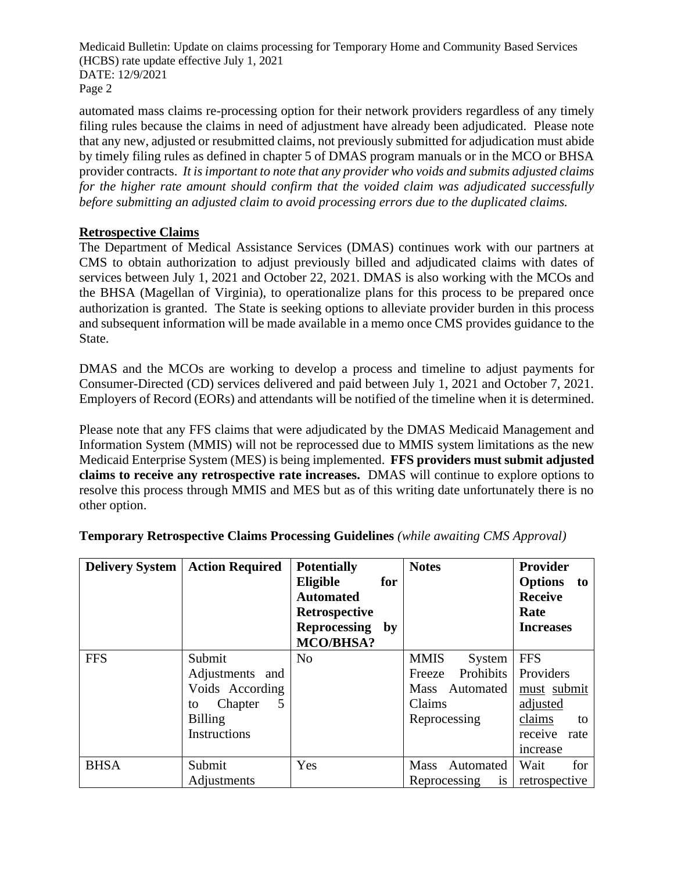Medicaid Bulletin: Update on claims processing for Temporary Home and Community Based Services (HCBS) rate update effective July 1, 2021 DATE: 12/9/2021 Page 2

automated mass claims re-processing option for their network providers regardless of any timely filing rules because the claims in need of adjustment have already been adjudicated. Please note that any new, adjusted or resubmitted claims, not previously submitted for adjudication must abide by timely filing rules as defined in chapter 5 of DMAS program manuals or in the MCO or BHSA provider contracts. *It is important to note that any provider who voids and submits adjusted claims for the higher rate amount should confirm that the voided claim was adjudicated successfully before submitting an adjusted claim to avoid processing errors due to the duplicated claims.*

# **Retrospective Claims**

The Department of Medical Assistance Services (DMAS) continues work with our partners at CMS to obtain authorization to adjust previously billed and adjudicated claims with dates of services between July 1, 2021 and October 22, 2021. DMAS is also working with the MCOs and the BHSA (Magellan of Virginia), to operationalize plans for this process to be prepared once authorization is granted. The State is seeking options to alleviate provider burden in this process and subsequent information will be made available in a memo once CMS provides guidance to the State.

DMAS and the MCOs are working to develop a process and timeline to adjust payments for Consumer-Directed (CD) services delivered and paid between July 1, 2021 and October 7, 2021. Employers of Record (EORs) and attendants will be notified of the timeline when it is determined.

Please note that any FFS claims that were adjudicated by the DMAS Medicaid Management and Information System (MMIS) will not be reprocessed due to MMIS system limitations as the new Medicaid Enterprise System (MES) is being implemented. **FFS providers must submit adjusted claims to receive any retrospective rate increases.** DMAS will continue to explore options to resolve this process through MMIS and MES but as of this writing date unfortunately there is no other option.

| <b>Delivery System</b> | <b>Action Required</b>                                                                               | <b>Potentially</b><br><b>Eligible</b><br>for<br><b>Automated</b><br><b>Retrospective</b><br>Reprocessing by<br><b>MCO/BHSA?</b> | <b>Notes</b>                                                                                       | Provider<br><b>Options</b><br>to<br><b>Receive</b><br>Rate<br><b>Increases</b>                    |
|------------------------|------------------------------------------------------------------------------------------------------|---------------------------------------------------------------------------------------------------------------------------------|----------------------------------------------------------------------------------------------------|---------------------------------------------------------------------------------------------------|
| <b>FFS</b>             | Submit<br>Adjustments and<br>Voids According<br>Chapter<br>5<br>to<br><b>Billing</b><br>Instructions | N <sub>o</sub>                                                                                                                  | <b>MMIS</b><br>System<br>Prohibits<br>Freeze<br>Automated<br><b>Mass</b><br>Claims<br>Reprocessing | <b>FFS</b><br>Providers<br>must submit<br>adjusted<br>claims<br>to<br>receive<br>rate<br>increase |
| <b>BHSA</b>            | Submit<br>Adjustments                                                                                | Yes                                                                                                                             | <b>Mass</b><br>Automated<br>Reprocessing<br>1S                                                     | Wait<br>for<br>retrospective                                                                      |

### **Temporary Retrospective Claims Processing Guidelines** *(while awaiting CMS Approval)*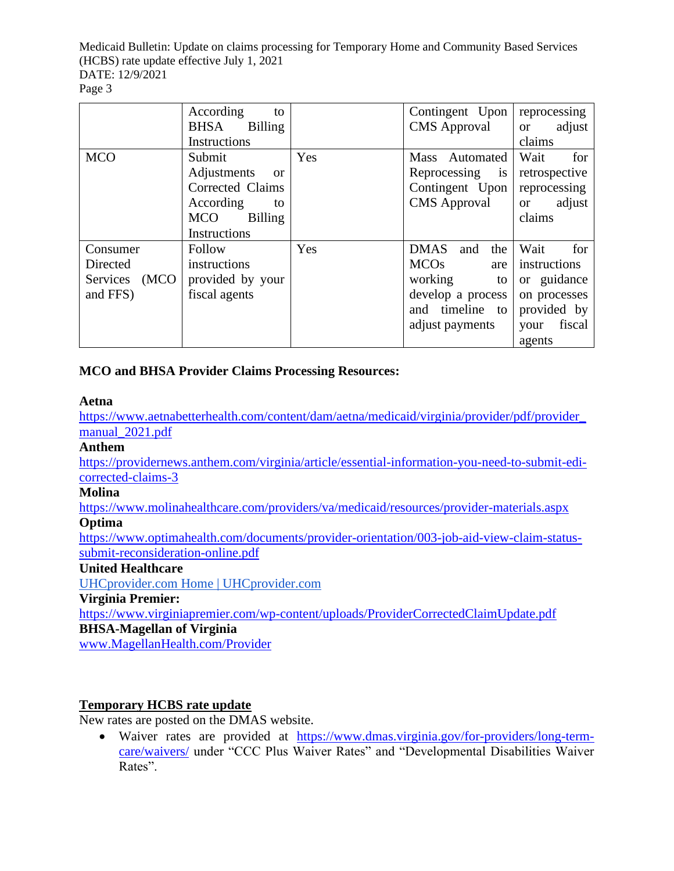Medicaid Bulletin: Update on claims processing for Temporary Home and Community Based Services (HCBS) rate update effective July 1, 2021 DATE: 12/9/2021

# Page 3

|                   | According<br>to               |     | Contingent Upon           | reprocessing            |
|-------------------|-------------------------------|-----|---------------------------|-------------------------|
|                   | <b>BHSA</b><br><b>Billing</b> |     | <b>CMS</b> Approval       | adjust<br><sub>or</sub> |
|                   | Instructions                  |     |                           | claims                  |
| <b>MCO</b>        | Submit                        | Yes | Mass Automated            | for<br>Wait             |
|                   | Adjustments<br><sub>or</sub>  |     | Reprocessing<br>1S        | retrospective           |
|                   | Corrected Claims              |     | Contingent Upon           | reprocessing            |
|                   | According<br>to               |     | <b>CMS</b> Approval       | adjust<br><sub>or</sub> |
|                   | MCO<br><b>Billing</b>         |     |                           | claims                  |
|                   | Instructions                  |     |                           |                         |
| Consumer          | Follow                        | Yes | <b>DMAS</b><br>the<br>and | Wait<br>for             |
| Directed          | instructions                  |     | <b>MCOs</b><br>are        | instructions            |
| (MCO)<br>Services | provided by your              |     | working<br>to             | or guidance             |
| and FFS)          | fiscal agents                 |     | develop a process         | on processes            |
|                   |                               |     | and timeline to           | provided by             |
|                   |                               |     | adjust payments           | fiscal<br>your          |
|                   |                               |     |                           | agents                  |

# **MCO and BHSA Provider Claims Processing Resources:**

### **Aetna**

https://www.aetnabetterhealth.com/content/dam/aetna/medicaid/virginia/provider/pdf/provider [manual\\_2021.pdf](https://www.aetnabetterhealth.com/content/dam/aetna/medicaid/virginia/provider/pdf/provider_manual_2021.pdf)

#### **Anthem**

[https://providernews.anthem.com/virginia/article/essential-information-you-need-to-submit-edi](https://providernews.anthem.com/virginia/article/essential-information-you-need-to-submit-edi-corrected-claims-3)[corrected-claims-3](https://providernews.anthem.com/virginia/article/essential-information-you-need-to-submit-edi-corrected-claims-3)

## **Molina**

<https://www.molinahealthcare.com/providers/va/medicaid/resources/provider-materials.aspx> **Optima**

[https://www.optimahealth.com/documents/provider-orientation/003-job-aid-view-claim-status](https://www.optimahealth.com/documents/provider-orientation/003-job-aid-view-claim-status-submit-reconsideration-online.pdf)[submit-reconsideration-online.pdf](https://www.optimahealth.com/documents/provider-orientation/003-job-aid-view-claim-status-submit-reconsideration-online.pdf)

### **United Healthcare**

[UHCprovider.com Home | UHCprovider.com](https://www.uhcprovider.com/)

**Virginia Premier:** 

<https://www.virginiapremier.com/wp-content/uploads/ProviderCorrectedClaimUpdate.pdf> **BHSA-Magellan of Virginia**

[www.MagellanHealth.com/Provider](http://www.magellanhealth.com/Provider)

# **Temporary HCBS rate update**

New rates are posted on the DMAS website.

• Waiver rates are provided at [https://www.dmas.virginia.gov/for-providers/long-term](https://www.dmas.virginia.gov/for-providers/long-term-care/waivers/)[care/waivers/](https://www.dmas.virginia.gov/for-providers/long-term-care/waivers/) under "CCC Plus Waiver Rates" and "Developmental Disabilities Waiver Rates".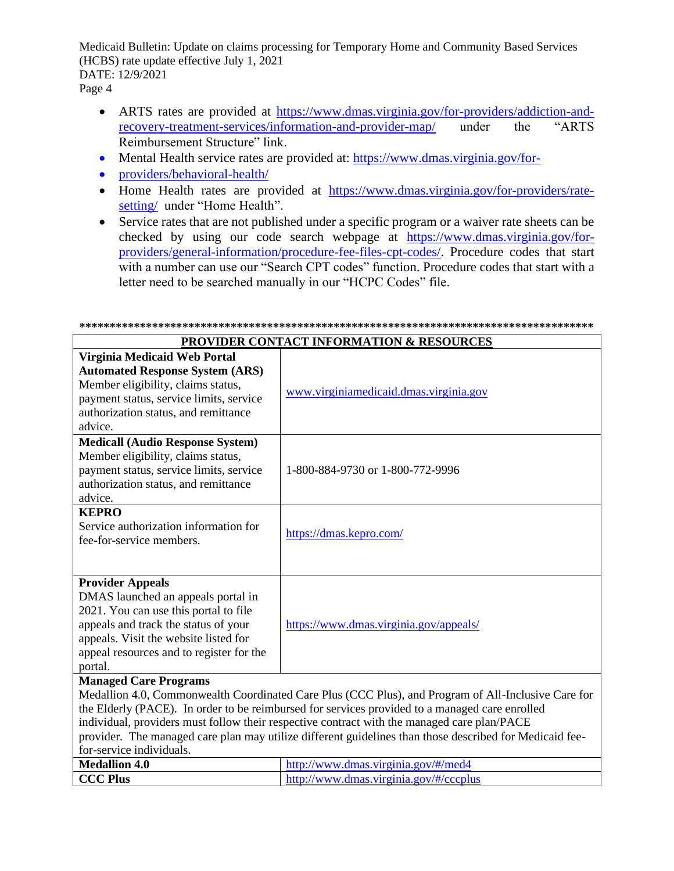Medicaid Bulletin: Update on claims processing for Temporary Home and Community Based Services (HCBS) rate update effective July 1, 2021 DATE: 12/9/2021

Page 4

- ARTS rates are provided at https://www.dmas.virginia.gov/for-providers/addiction-andrecovery-treatment-services/information-and-provider-map/ under the "ARTS Reimbursement Structure" link.
- Mental Health service rates are provided at: https://www.dmas.virginia.gov/for-
- providers/behavioral-health/
- Home Health rates are provided at https://www.dmas.virginia.gov/for-providers/ratesetting/ under "Home Health".
- Service rates that are not published under a specific program or a waiver rate sheets can be checked by using our code search webpage at https://www.dmas.virginia.gov/forproviders/general-information/procedure-fee-files-cpt-codes/. Procedure codes that start with a number can use our "Search CPT codes" function. Procedure codes that start with a letter need to be searched manually in our "HCPC Codes" file.

| PROVIDER CONTACT INFORMATION & RESOURCES                                                                                                                                                                                                                                                                                                                                                                                                                                    |                                        |  |  |  |
|-----------------------------------------------------------------------------------------------------------------------------------------------------------------------------------------------------------------------------------------------------------------------------------------------------------------------------------------------------------------------------------------------------------------------------------------------------------------------------|----------------------------------------|--|--|--|
| Virginia Medicaid Web Portal<br><b>Automated Response System (ARS)</b><br>Member eligibility, claims status,<br>payment status, service limits, service<br>authorization status, and remittance<br>advice.                                                                                                                                                                                                                                                                  | www.virginiamedicaid.dmas.virginia.gov |  |  |  |
| <b>Medicall (Audio Response System)</b><br>Member eligibility, claims status,<br>payment status, service limits, service<br>authorization status, and remittance<br>advice.                                                                                                                                                                                                                                                                                                 | 1-800-884-9730 or 1-800-772-9996       |  |  |  |
| <b>KEPRO</b><br>Service authorization information for<br>fee-for-service members.                                                                                                                                                                                                                                                                                                                                                                                           | https://dmas.kepro.com/                |  |  |  |
| <b>Provider Appeals</b><br>DMAS launched an appeals portal in<br>2021. You can use this portal to file<br>appeals and track the status of your<br>appeals. Visit the website listed for<br>appeal resources and to register for the<br>portal.                                                                                                                                                                                                                              | https://www.dmas.virginia.gov/appeals/ |  |  |  |
| <b>Managed Care Programs</b><br>Medallion 4.0, Commonwealth Coordinated Care Plus (CCC Plus), and Program of All-Inclusive Care for<br>the Elderly (PACE). In order to be reimbursed for services provided to a managed care enrolled<br>individual, providers must follow their respective contract with the managed care plan/PACE<br>provider. The managed care plan may utilize different guidelines than those described for Medicaid fee-<br>for-service individuals. |                                        |  |  |  |
| <b>Medallion 4.0</b>                                                                                                                                                                                                                                                                                                                                                                                                                                                        | http://www.dmas.virginia.gov/#/med4    |  |  |  |
| <b>CCC Plus</b>                                                                                                                                                                                                                                                                                                                                                                                                                                                             | http://www.dmas.virginia.gov/#/cccplus |  |  |  |

###